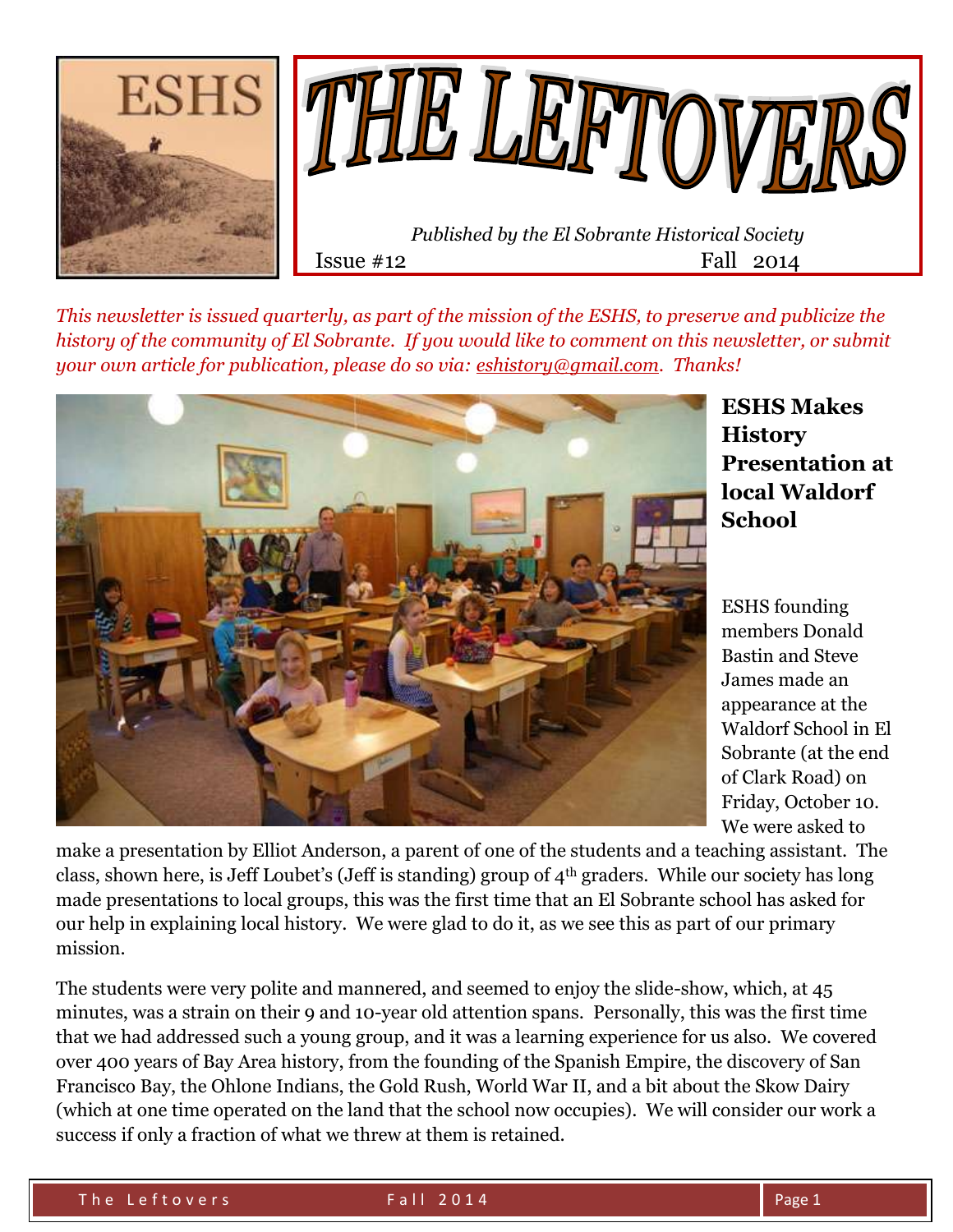



*This newsletter is issued quarterly, as part of the mission of the ESHS, to preserve and publicize the history of the community of El Sobrante. If you would like to comment on this newsletter, or submit your own article for publication, please do so via: [eshistory@gmail.com.](mailto:eshistory@gmail.com) Thanks!*



**ESHS Makes History Presentation at local Waldorf School**

ESHS founding members Donald Bastin and Steve James made an appearance at the Waldorf School in El Sobrante (at the end of Clark Road) on Friday, October 10. We were asked to

make a presentation by Elliot Anderson, a parent of one of the students and a teaching assistant. The class, shown here, is Jeff Loubet's (Jeff is standing) group of 4th graders. While our society has long made presentations to local groups, this was the first time that an El Sobrante school has asked for our help in explaining local history. We were glad to do it, as we see this as part of our primary mission.

The students were very polite and mannered, and seemed to enjoy the slide-show, which, at 45 minutes, was a strain on their 9 and 10-year old attention spans. Personally, this was the first time that we had addressed such a young group, and it was a learning experience for us also. We covered over 400 years of Bay Area history, from the founding of the Spanish Empire, the discovery of San Francisco Bay, the Ohlone Indians, the Gold Rush, World War II, and a bit about the Skow Dairy (which at one time operated on the land that the school now occupies). We will consider our work a success if only a fraction of what we threw at them is retained.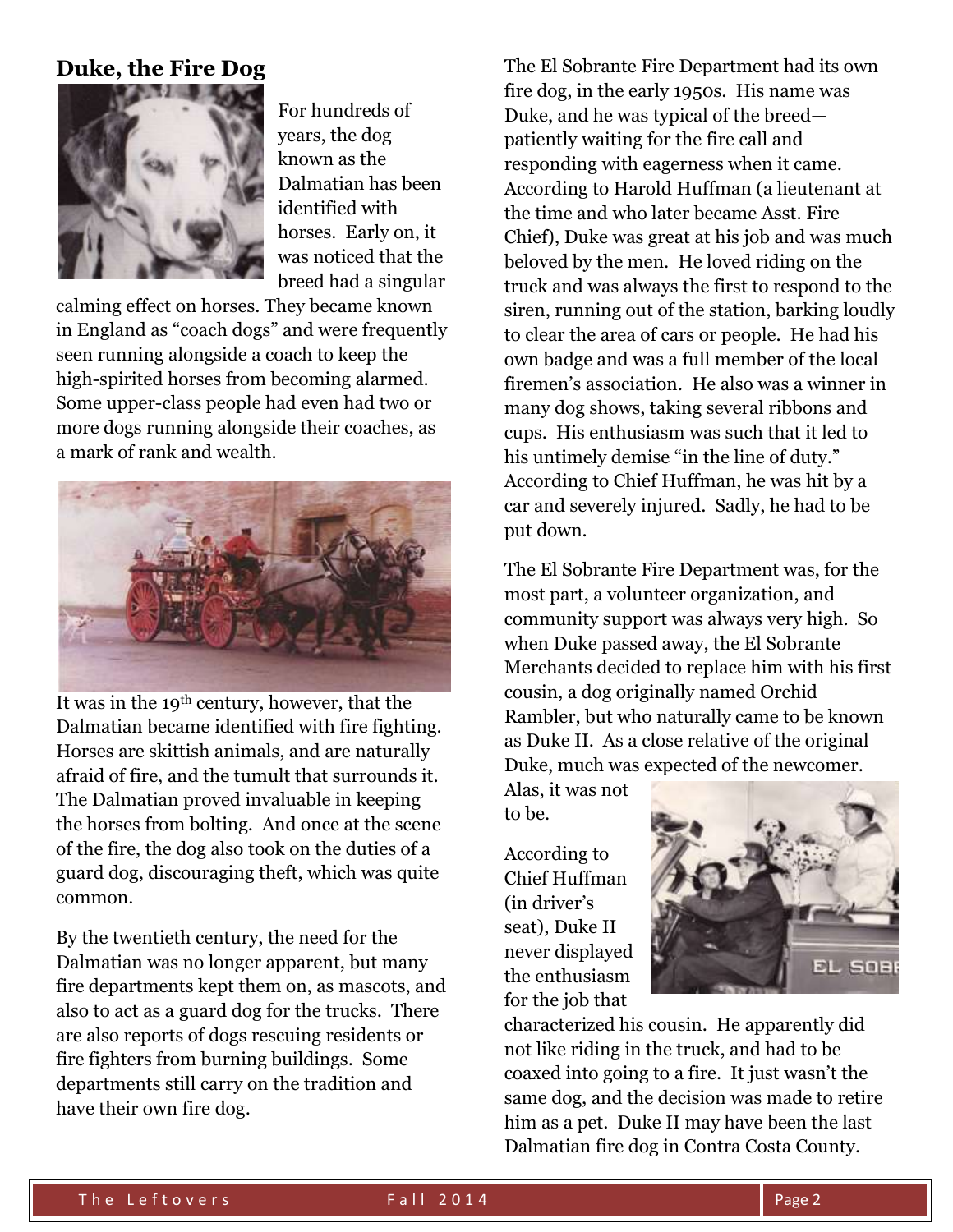### **Duke, the Fire Dog**



For hundreds of years, the dog known as the Dalmatian has been identified with horses. Early on, it was noticed that the breed had a singular

calming effect on horses. They became known in England as "coach dogs" and were frequently seen running alongside a coach to keep the high-spirited horses from becoming alarmed. Some upper-class people had even had two or more dogs running alongside their coaches, as a mark of rank and wealth.



It was in the 19th century, however, that the Dalmatian became identified with fire fighting. Horses are skittish animals, and are naturally afraid of fire, and the tumult that surrounds it. The Dalmatian proved invaluable in keeping the horses from bolting. And once at the scene of the fire, the dog also took on the duties of a guard dog, discouraging theft, which was quite common.

By the twentieth century, the need for the Dalmatian was no longer apparent, but many fire departments kept them on, as mascots, and also to act as a guard dog for the trucks. There are also reports of dogs rescuing residents or fire fighters from burning buildings. Some departments still carry on the tradition and have their own fire dog.

The El Sobrante Fire Department had its own fire dog, in the early 1950s. His name was Duke, and he was typical of the breed patiently waiting for the fire call and responding with eagerness when it came. According to Harold Huffman (a lieutenant at the time and who later became Asst. Fire Chief), Duke was great at his job and was much beloved by the men. He loved riding on the truck and was always the first to respond to the siren, running out of the station, barking loudly to clear the area of cars or people. He had his own badge and was a full member of the local firemen's association. He also was a winner in many dog shows, taking several ribbons and cups. His enthusiasm was such that it led to his untimely demise "in the line of duty." According to Chief Huffman, he was hit by a car and severely injured. Sadly, he had to be put down.

The El Sobrante Fire Department was, for the most part, a volunteer organization, and community support was always very high. So when Duke passed away, the El Sobrante Merchants decided to replace him with his first cousin, a dog originally named Orchid Rambler, but who naturally came to be known as Duke II. As a close relative of the original Duke, much was expected of the newcomer.

Alas, it was not to be.

According to Chief Huffman (in driver's seat), Duke II never displayed the enthusiasm for the job that



characterized his cousin. He apparently did not like riding in the truck, and had to be coaxed into going to a fire. It just wasn't the same dog, and the decision was made to retire him as a pet. Duke II may have been the last Dalmatian fire dog in Contra Costa County.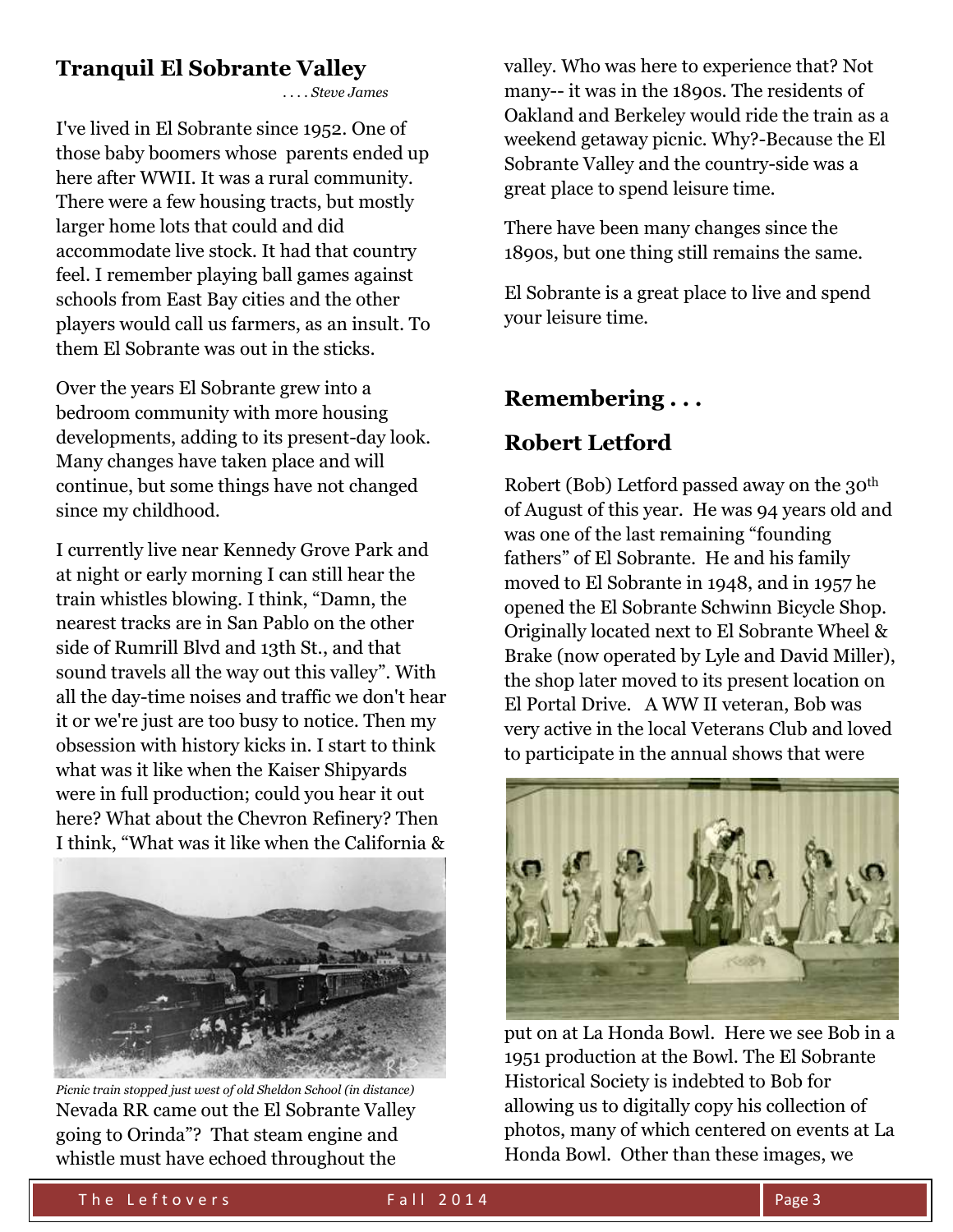# **Tranquil El Sobrante Valley**

*. . . . Steve James*

I've lived in El Sobrante since 1952. One of those baby boomers whose parents ended up here after WWII. It was a rural community. There were a few housing tracts, but mostly larger home lots that could and did accommodate live stock. It had that country feel. I remember playing ball games against schools from East Bay cities and the other players would call us farmers, as an insult. To them El Sobrante was out in the sticks.

Over the years El Sobrante grew into a bedroom community with more housing developments, adding to its present-day look. Many changes have taken place and will continue, but some things have not changed since my childhood.

I currently live near Kennedy Grove Park and at night or early morning I can still hear the train whistles blowing. I think, "Damn, the nearest tracks are in San Pablo on the other side of Rumrill Blvd and 13th St., and that sound travels all the way out this valley". With all the day-time noises and traffic we don't hear it or we're just are too busy to notice. Then my obsession with history kicks in. I start to think what was it like when the Kaiser Shipyards were in full production; could you hear it out here? What about the Chevron Refinery? Then I think, "What was it like when the California &



*Picnic train stopped just west of old Sheldon School (in distance)*  Nevada RR came out the El Sobrante Valley going to Orinda"? That steam engine and whistle must have echoed throughout the

valley. Who was here to experience that? Not many-- it was in the 1890s. The residents of Oakland and Berkeley would ride the train as a weekend getaway picnic. Why?-Because the El Sobrante Valley and the country-side was a great place to spend leisure time.

There have been many changes since the 1890s, but one thing still remains the same.

El Sobrante is a great place to live and spend your leisure time.

### **Remembering . . .**

# **Robert Letford**

Robert (Bob) Letford passed away on the 30th of August of this year. He was 94 years old and was one of the last remaining "founding fathers" of El Sobrante. He and his family moved to El Sobrante in 1948, and in 1957 he opened the El Sobrante Schwinn Bicycle Shop. Originally located next to El Sobrante Wheel & Brake (now operated by Lyle and David Miller), the shop later moved to its present location on El Portal Drive. A WW II veteran, Bob was very active in the local Veterans Club and loved to participate in the annual shows that were



put on at La Honda Bowl. Here we see Bob in a 1951 production at the Bowl. The El Sobrante Historical Society is indebted to Bob for allowing us to digitally copy his collection of photos, many of which centered on events at La Honda Bowl. Other than these images, we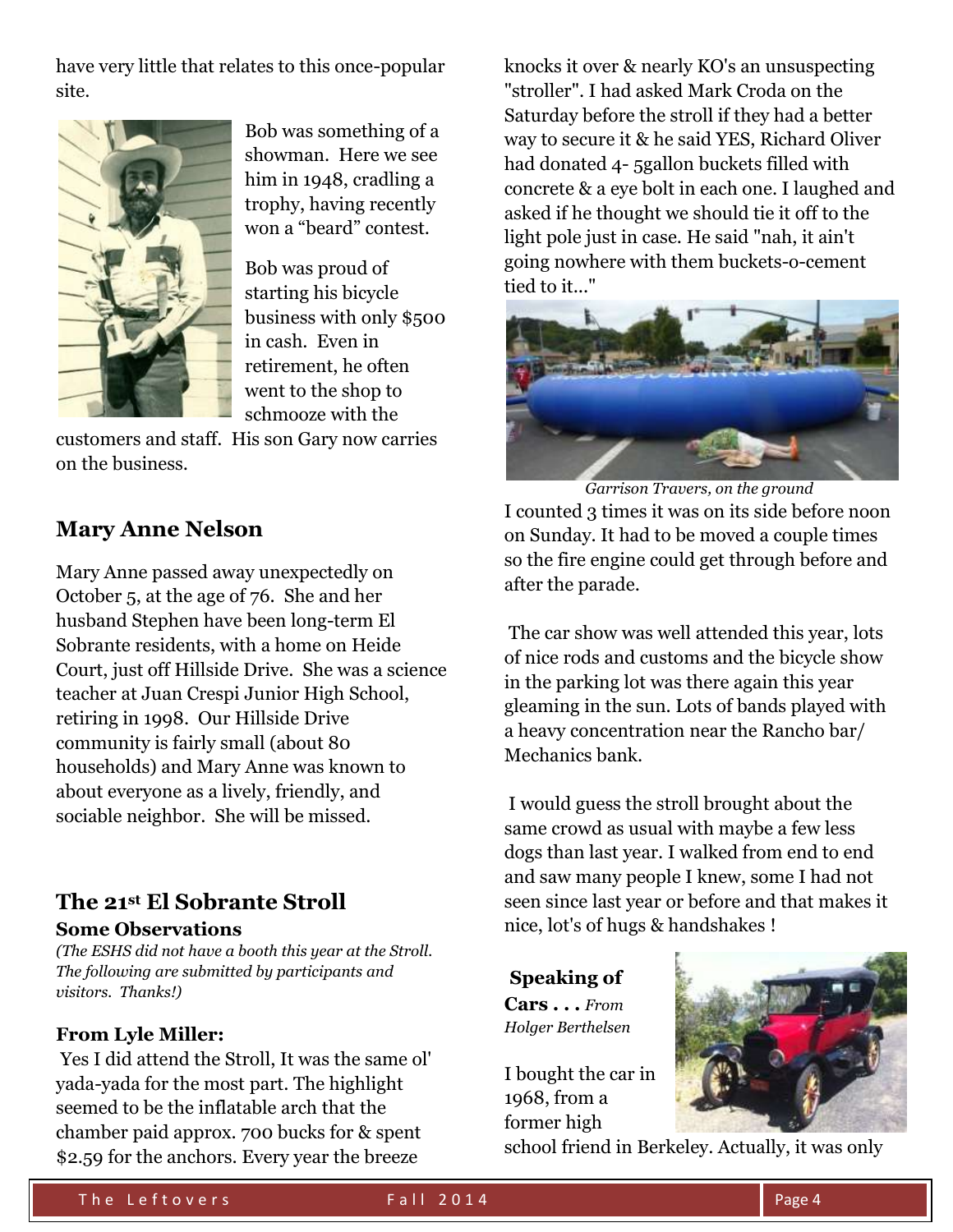have very little that relates to this once-popular site.



Bob was something of a showman. Here we see him in 1948, cradling a trophy, having recently won a "beard" contest.

Bob was proud of starting his bicycle business with only \$500 in cash. Even in retirement, he often went to the shop to schmooze with the

customers and staff. His son Gary now carries on the business.

### **Mary Anne Nelson**

Mary Anne passed away unexpectedly on October 5, at the age of 76. She and her husband Stephen have been long-term El Sobrante residents, with a home on Heide Court, just off Hillside Drive. She was a science teacher at Juan Crespi Junior High School, retiring in 1998. Our Hillside Drive community is fairly small (about 80 households) and Mary Anne was known to about everyone as a lively, friendly, and sociable neighbor. She will be missed.

#### **The 21st El Sobrante Stroll Some Observations**

*(The ESHS did not have a booth this year at the Stroll. The following are submitted by participants and visitors. Thanks!)*

#### **From Lyle Miller:**

Yes I did attend the Stroll, It was the same ol' yada-yada for the most part. The highlight seemed to be the inflatable arch that the chamber paid approx. 700 bucks for & spent \$2.59 for the anchors. Every year the breeze

knocks it over & nearly KO's an unsuspecting "stroller". I had asked Mark Croda on the Saturday before the stroll if they had a better way to secure it & he said YES, Richard Oliver had donated 4- 5gallon buckets filled with concrete & a eye bolt in each one. I laughed and asked if he thought we should tie it off to the light pole just in case. He said "nah, it ain't going nowhere with them buckets-o-cement tied to it..."



 *Garrison Travers, on the ground* I counted 3 times it was on its side before noon on Sunday. It had to be moved a couple times so the fire engine could get through before and after the parade.

The car show was well attended this year, lots of nice rods and customs and the bicycle show in the parking lot was there again this year gleaming in the sun. Lots of bands played with a heavy concentration near the Rancho bar/ Mechanics bank.

I would guess the stroll brought about the same crowd as usual with maybe a few less dogs than last year. I walked from end to end and saw many people I knew, some I had not seen since last year or before and that makes it nice, lot's of hugs & handshakes !

**Speaking of Cars . . .** *From Holger Berthelsen*

I bought the car in 1968, from a former high school friend in Berkeley. Actually, it was only

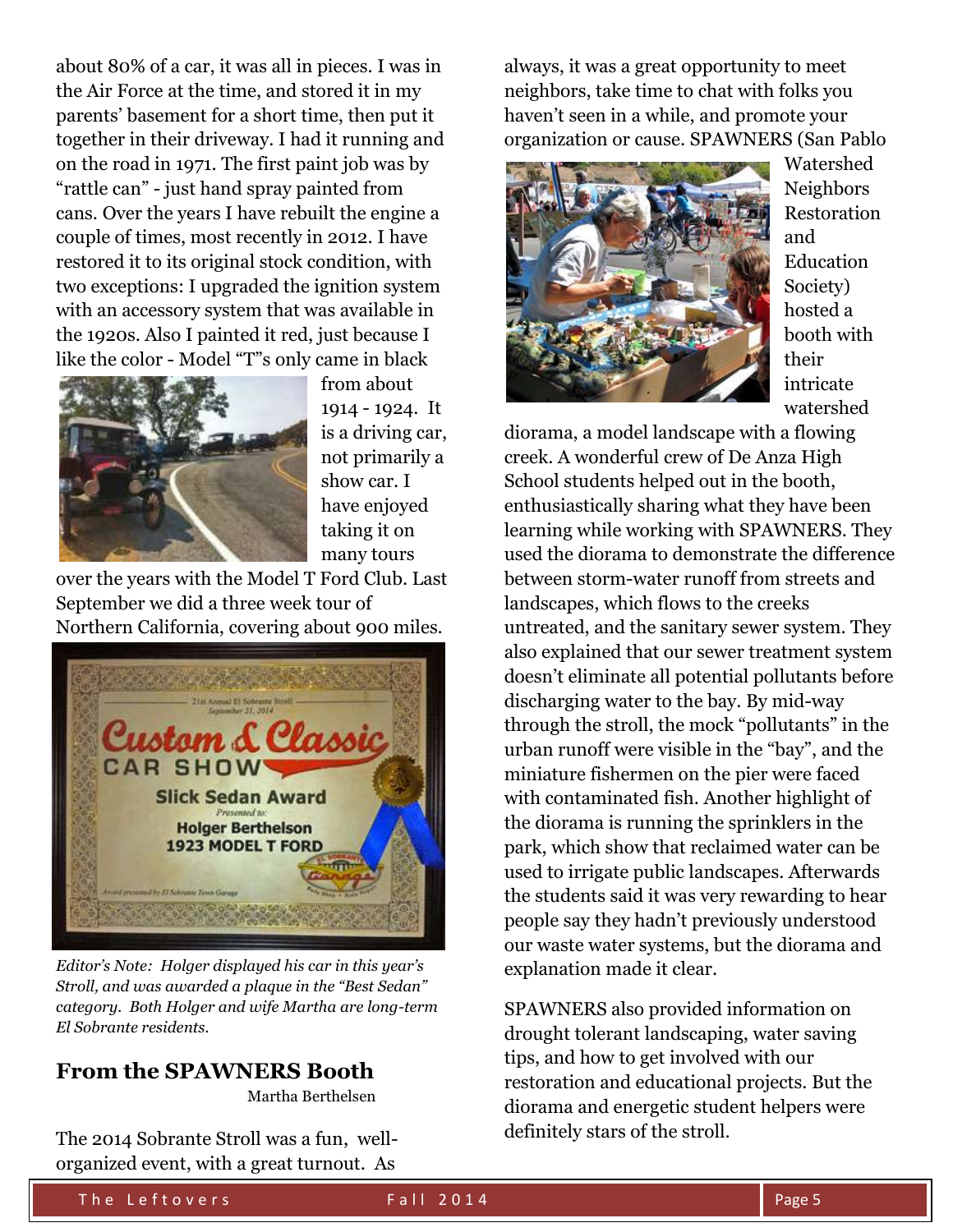about 80% of a car, it was all in pieces. I was in the Air Force at the time, and stored it in my parents' basement for a short time, then put it together in their driveway. I had it running and on the road in 1971. The first paint job was by "rattle can" - just hand spray painted from cans. Over the years I have rebuilt the engine a couple of times, most recently in 2012. I have restored it to its original stock condition, with two exceptions: I upgraded the ignition system with an accessory system that was available in the 1920s. Also I painted it red, just because I like the color - Model "T"s only came in black



from about 1914 - 1924. It is a driving car, not primarily a show car. I have enjoyed taking it on many tours

over the years with the Model T Ford Club. Last September we did a three week tour of Northern California, covering about 900 miles.



*Editor's Note: Holger displayed his car in this year's Stroll, and was awarded a plaque in the "Best Sedan" category. Both Holger and wife Martha are long-term El Sobrante residents.*

### **From the SPAWNERS Booth**

Martha Berthelsen

The 2014 Sobrante Stroll was a fun, wellorganized event, with a great turnout. As

always, it was a great opportunity to meet neighbors, take time to chat with folks you haven't seen in a while, and promote your organization or cause. SPAWNERS (San Pablo



Watershed Neighbors Restoration and Education Society) hosted a booth with their intricate watershed

diorama, a model landscape with a flowing creek. A wonderful crew of De Anza High School students helped out in the booth, enthusiastically sharing what they have been learning while working with SPAWNERS. They used the diorama to demonstrate the difference between storm-water runoff from streets and landscapes, which flows to the creeks untreated, and the sanitary sewer system. They also explained that our sewer treatment system doesn't eliminate all potential pollutants before discharging water to the bay. By mid-way through the stroll, the mock "pollutants" in the urban runoff were visible in the "bay", and the miniature fishermen on the pier were faced with contaminated fish. Another highlight of the diorama is running the sprinklers in the park, which show that reclaimed water can be used to irrigate public landscapes. Afterwards the students said it was very rewarding to hear people say they hadn't previously understood our waste water systems, but the diorama and explanation made it clear.

SPAWNERS also provided information on drought tolerant landscaping, water saving tips, and how to get involved with our restoration and educational projects. But the diorama and energetic student helpers were definitely stars of the stroll.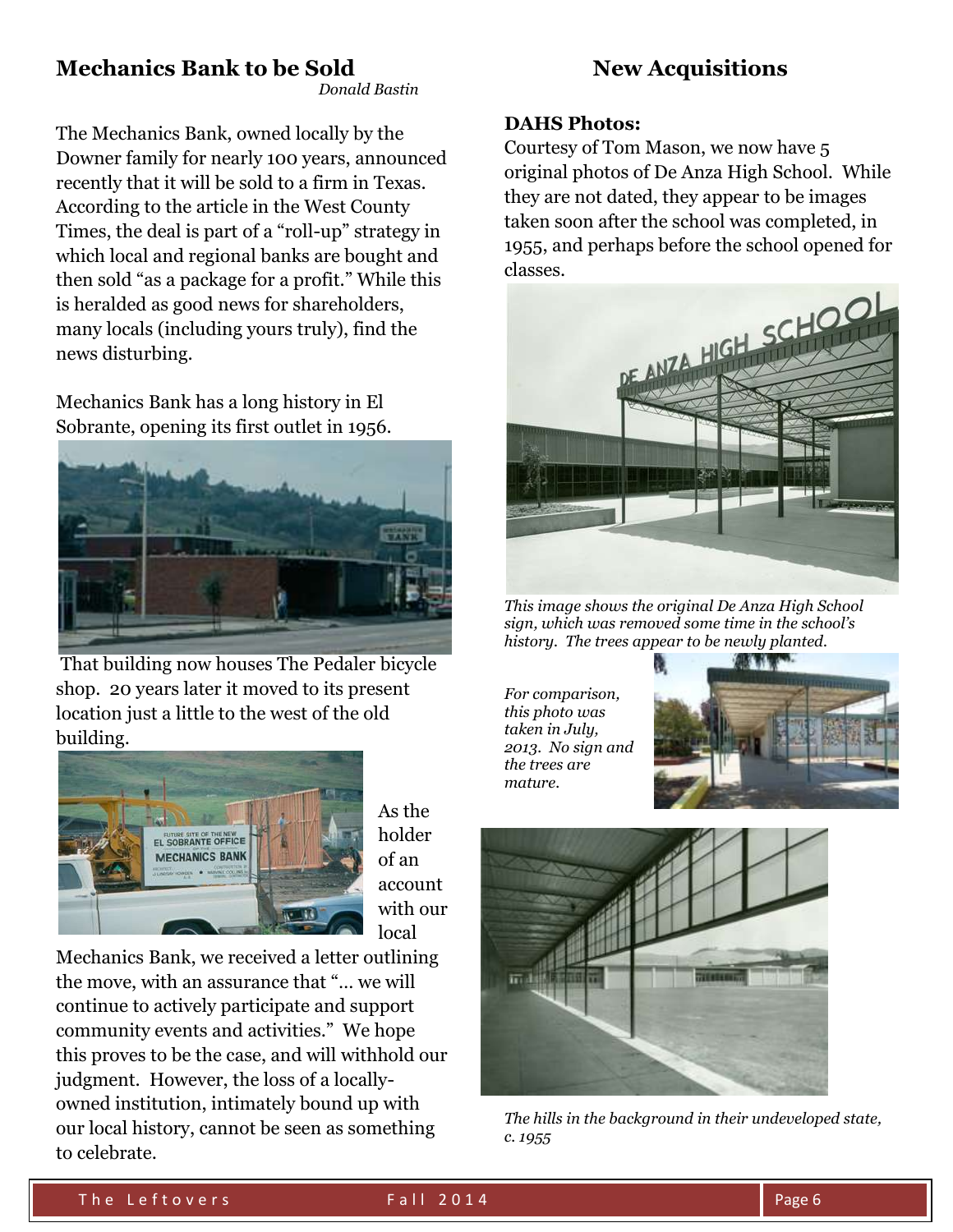# **Mechanics Bank to be Sold**

 *Donald Bastin*

The Mechanics Bank, owned locally by the Downer family for nearly 100 years, announced recently that it will be sold to a firm in Texas. According to the article in the West County Times, the deal is part of a "roll-up" strategy in which local and regional banks are bought and then sold "as a package for a profit." While this is heralded as good news for shareholders, many locals (including yours truly), find the news disturbing.

Mechanics Bank has a long history in El Sobrante, opening its first outlet in 1956.



That building now houses The Pedaler bicycle shop. 20 years later it moved to its present location just a little to the west of the old building.



As the holder of an account with our local

Mechanics Bank, we received a letter outlining the move, with an assurance that "… we will continue to actively participate and support community events and activities." We hope this proves to be the case, and will withhold our judgment. However, the loss of a locallyowned institution, intimately bound up with our local history, cannot be seen as something to celebrate.

# **New Acquisitions**

#### **DAHS Photos:**

Courtesy of Tom Mason, we now have 5 original photos of De Anza High School. While they are not dated, they appear to be images taken soon after the school was completed, in 1955, and perhaps before the school opened for classes.



*This image shows the original De Anza High School sign, which was removed some time in the school's history. The trees appear to be newly planted.*

*For comparison, this photo was taken in July, 2013. No sign and the trees are mature.*





*The hills in the background in their undeveloped state, c. 1955*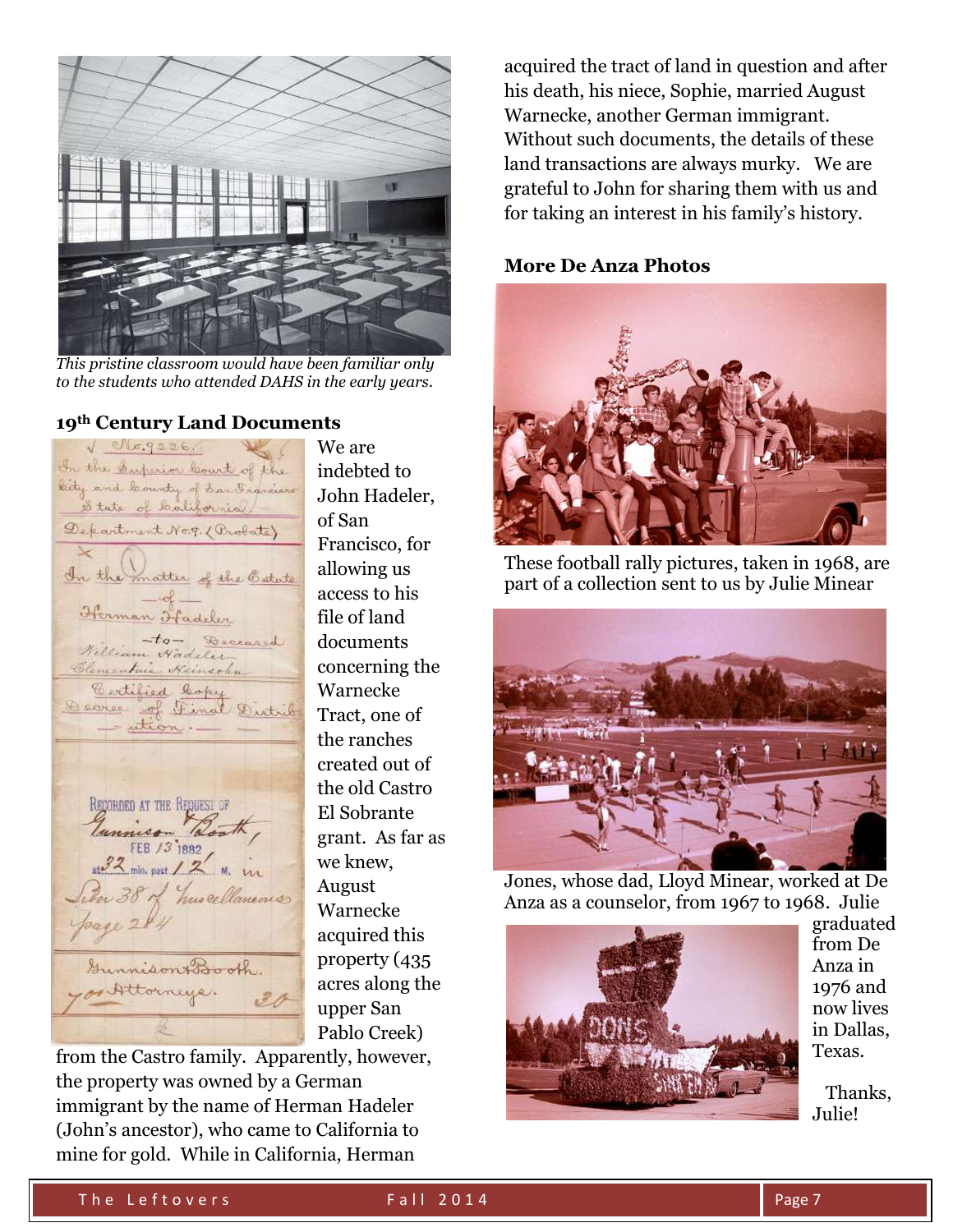

*This pristine classroom would have been familiar only to the students who attended DAHS in the early years.*

#### **19th Century Land Documents**

 $\sqrt{eNg, g226.}$ In the Superior locut of the bity and locunty of San Francisco State of California. Department No.g. (Probate) In the matter of the Catate Herman Fadeler Nilliam Nadeler Clementuis Keinschn Eartified Copy Decree of Final Distrib - ution. RECORDED AT THE REQUEST OF Jannies Booth, er 38 of huscellaneous Gunnison Booth. Bettorneye.

We are indebted to John Hadeler, of San Francisco, for allowing us access to his file of land documents concerning the Warnecke Tract, one of the ranches created out of the old Castro El Sobrante grant. As far as we knew, August Warnecke acquired this property (435 acres along the upper San Pablo Creek)

from the Castro family. Apparently, however, the property was owned by a German immigrant by the name of Herman Hadeler (John's ancestor), who came to California to mine for gold. While in California, Herman

acquired the tract of land in question and after his death, his niece, Sophie, married August Warnecke, another German immigrant. Without such documents, the details of these land transactions are always murky. We are grateful to John for sharing them with us and for taking an interest in his family's history.

#### **More De Anza Photos**



These football rally pictures, taken in 1968, are part of a collection sent to us by Julie Minear



Jones, whose dad, Lloyd Minear, worked at De Anza as a counselor, from 1967 to 1968. Julie



graduated from De Anza in 1976 and now lives in Dallas, Texas.

 Thanks, Julie!